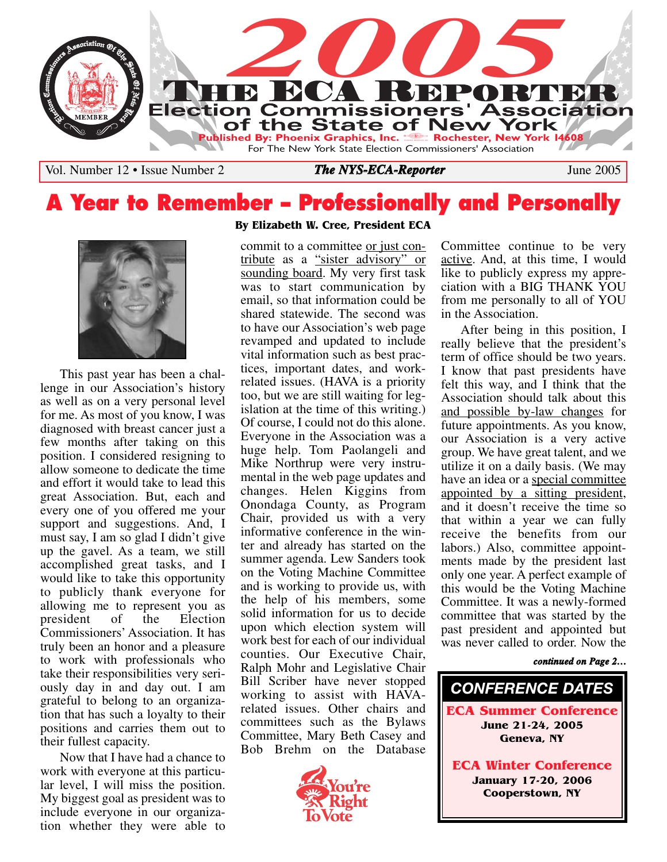

Vol. Number 12 • Issue Number 2 **The NYS-ECA-Reporter** June 2005

## **A Year to Remember – Professionally and Personally**



This past year has been a challenge in our Association's history as well as on a very personal level for me. As most of you know, I was diagnosed with breast cancer just a few months after taking on this position. I considered resigning to allow someone to dedicate the time and effort it would take to lead this great Association. But, each and every one of you offered me your support and suggestions. And, I must say, I am so glad I didn't give up the gavel. As a team, we still accomplished great tasks, and I would like to take this opportunity to publicly thank everyone for allowing me to represent you as president of the Election Commissioners' Association. It has truly been an honor and a pleasure to work with professionals who take their responsibilities very seriously day in and day out. I am grateful to belong to an organization that has such a loyalty to their positions and carries them out to their fullest capacity.

Now that I have had a chance to work with everyone at this particular level, I will miss the position. My biggest goal as president was to include everyone in our organization whether they were able to

#### **By Elizabeth W. Cree, President ECA**

commit to a committee or just contribute as a "sister advisory" or sounding board. My very first task was to start communication by email, so that information could be shared statewide. The second was to have our Association's web page revamped and updated to include vital information such as best practices, important dates, and workrelated issues. (HAVA is a priority too, but we are still waiting for legislation at the time of this writing.) Of course, I could not do this alone. Everyone in the Association was a huge help. Tom Paolangeli and Mike Northrup were very instrumental in the web page updates and changes. Helen Kiggins from Onondaga County, as Program Chair, provided us with a very informative conference in the winter and already has started on the summer agenda. Lew Sanders took on the Voting Machine Committee and is working to provide us, with the help of his members, some solid information for us to decide upon which election system will work best for each of our individual counties. Our Executive Chair, Ralph Mohr and Legislative Chair Bill Scriber have never stopped working to assist with HAVArelated issues. Other chairs and committees such as the Bylaws Committee, Mary Beth Casey and Bob Brehm on the Database



Committee continue to be very active. And, at this time, I would like to publicly express my appreciation with a BIG THANK YOU from me personally to all of YOU in the Association.

After being in this position, I really believe that the president's term of office should be two years. I know that past presidents have felt this way, and I think that the Association should talk about this and possible by-law changes for future appointments. As you know, our Association is a very active group. We have great talent, and we utilize it on a daily basis. (We may have an idea or a special committee appointed by a sitting president, and it doesn't receive the time so that within a year we can fully receive the benefits from our labors.) Also, committee appointments made by the president last only one year. A perfect example of this would be the Voting Machine Committee. It was a newly-formed committee that was started by the past president and appointed but was never called to order. Now the

#### *continued on Page 2…*

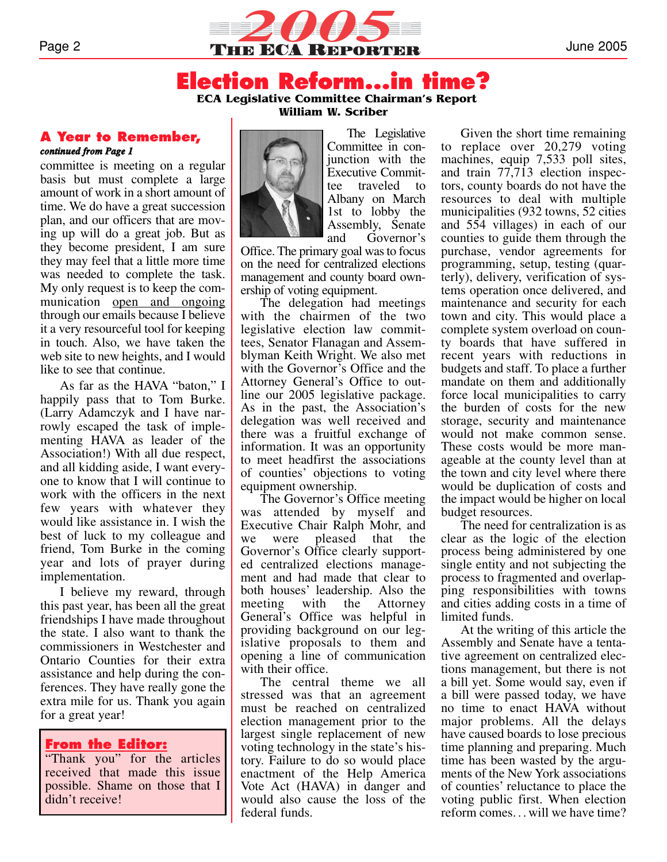

#### **Election Reform...in time? ECA Legislative Committee Chairman's Report**

**William W. Scriber**

#### **A Year to Remember,**  *continued from Page 1*

committee is meeting on a regular basis but must complete a large amount of work in a short amount of time. We do have a great succession plan, and our officers that are moving up will do a great job. But as they become president, I am sure they may feel that a little more time was needed to complete the task. My only request is to keep the communication <u>open and ongoing</u> through our emails because I believe it a very resourceful tool for keeping in touch. Also, we have taken the web site to new heights, and I would like to see that continue.

As far as the HAVA "baton," I happily pass that to Tom Burke. (Larry Adamczyk and I have narrowly escaped the task of implementing HAVA as leader of the Association!) With all due respect, and all kidding aside, I want everyone to know that I will continue to work with the officers in the next few years with whatever they would like assistance in. I wish the best of luck to my colleague and friend, Tom Burke in the coming year and lots of prayer during implementation.

I believe my reward, through this past year, has been all the great friendships I have made throughout the state. I also want to thank the commissioners in Westchester and Ontario Counties for their extra assistance and help during the conferences. They have really gone the extra mile for us. Thank you again for a great year!

#### **From the Editor:**

"Thank you" for the articles received that made this issue possible. Shame on those that I didn't receive!

The Legislative Committee in conjunction with the Executive Committee traveled to Albany on March 1st to lobby the Assembly, Senate and Governor's

Office. The primary goal was to focus on the need for centralized elections management and county board ownership of voting equipment.

The delegation had meetings with the chairmen of the two legislative election law committees, Senator Flanagan and Assemblyman Keith Wright. We also met with the Governor's Office and the Attorney General's Office to outline our 2005 legislative package. As in the past, the Association's delegation was well received and there was a fruitful exchange of information. It was an opportunity to meet headfirst the associations of counties' objections to voting equipment ownership.

The Governor's Office meeting was attended by myself and Executive Chair Ralph Mohr, and we were pleased that the Governor's Office clearly supported centralized elections management and had made that clear to both houses' leadership. Also the meeting with the Attorney General's Office was helpful in providing background on our legislative proposals to them and opening a line of communication with their office.

The central theme we all stressed was that an agreement must be reached on centralized election management prior to the largest single replacement of new voting technology in the state's history. Failure to do so would place enactment of the Help America Vote Act (HAVA) in danger and would also cause the loss of the federal funds.

Given the short time remaining to replace over 20,279 voting machines, equip 7,533 poll sites, and train 77,713 election inspectors, county boards do not have the resources to deal with multiple municipalities (932 towns, 52 cities and 554 villages) in each of our counties to guide them through the purchase, vendor agreements for programming, setup, testing (quarterly), delivery, verification of systems operation once delivered, and maintenance and security for each town and city. This would place a complete system overload on county boards that have suffered in recent years with reductions in budgets and staff. To place a further mandate on them and additionally force local municipalities to carry the burden of costs for the new storage, security and maintenance would not make common sense. These costs would be more manageable at the county level than at the town and city level where there would be duplication of costs and the impact would be higher on local budget resources.

The need for centralization is as clear as the logic of the election process being administered by one single entity and not subjecting the process to fragmented and overlapping responsibilities with towns and cities adding costs in a time of limited funds.

At the writing of this article the Assembly and Senate have a tentative agreement on centralized elections management, but there is not a bill yet. Some would say, even if a bill were passed today, we have no time to enact HAVA without major problems. All the delays have caused boards to lose precious time planning and preparing. Much time has been wasted by the arguments of the New York associations of counties' reluctance to place the voting public first. When election reform comes. . . will we have time?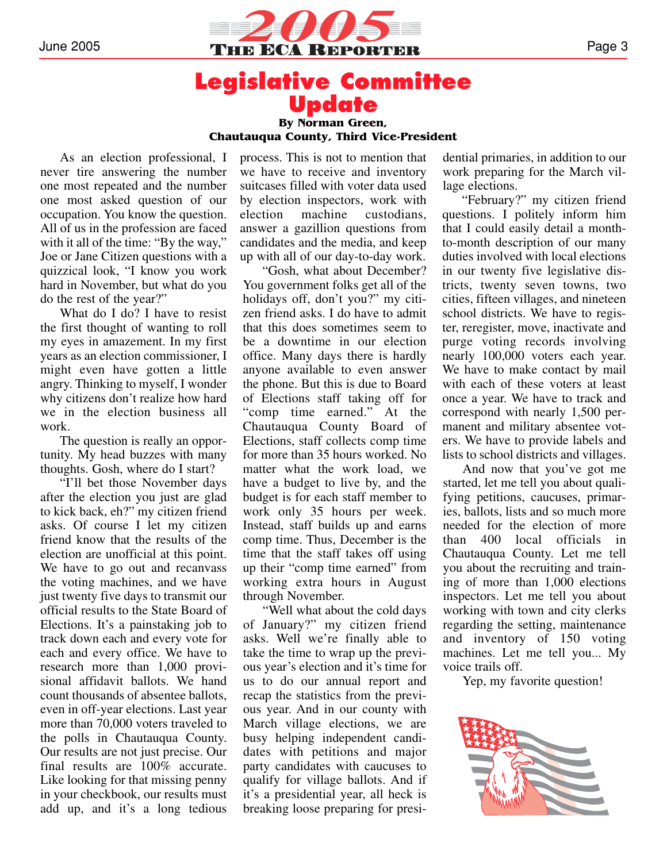

### **Legislative Committee Update By Norman Green,**

**Chautauqua County, Third Vice-President**

As an election professional, I never tire answering the number one most repeated and the number one most asked question of our occupation. You know the question. All of us in the profession are faced with it all of the time: "By the way," Joe or Jane Citizen questions with a quizzical look, "I know you work hard in November, but what do you do the rest of the year?"

What do I do? I have to resist the first thought of wanting to roll my eyes in amazement. In my first years as an election commissioner, I might even have gotten a little angry. Thinking to myself, I wonder why citizens don't realize how hard we in the election business all work.

The question is really an opportunity. My head buzzes with many thoughts. Gosh, where do I start?

"I'll bet those November days after the election you just are glad to kick back, eh?" my citizen friend asks. Of course I let my citizen friend know that the results of the election are unofficial at this point. We have to go out and recanvass the voting machines, and we have just twenty five days to transmit our official results to the State Board of Elections. It's a painstaking job to track down each and every vote for each and every office. We have to research more than 1,000 provisional affidavit ballots. We hand count thousands of absentee ballots, even in off-year elections. Last year more than 70,000 voters traveled to the polls in Chautauqua County. Our results are not just precise. Our final results are 100% accurate. Like looking for that missing penny in your checkbook, our results must add up, and it's a long tedious

process. This is not to mention that we have to receive and inventory suitcases filled with voter data used by election inspectors, work with election machine custodians, answer a gazillion questions from candidates and the media, and keep up with all of our day-to-day work.

"Gosh, what about December? You government folks get all of the holidays off, don't you?" my citizen friend asks. I do have to admit that this does sometimes seem to be a downtime in our election office. Many days there is hardly anyone available to even answer the phone. But this is due to Board of Elections staff taking off for "comp time earned." At the Chautauqua County Board of Elections, staff collects comp time for more than 35 hours worked. No matter what the work load, we have a budget to live by, and the budget is for each staff member to work only 35 hours per week. Instead, staff builds up and earns comp time. Thus, December is the time that the staff takes off using up their "comp time earned" from working extra hours in August through November.

"Well what about the cold days of January?" my citizen friend asks. Well we're finally able to take the time to wrap up the previous year's election and it's time for us to do our annual report and recap the statistics from the previous year. And in our county with March village elections, we are busy helping independent candidates with petitions and major party candidates with caucuses to qualify for village ballots. And if it's a presidential year, all heck is breaking loose preparing for presi-

dential primaries, in addition to our work preparing for the March village elections.

"February?" my citizen friend questions. I politely inform him that I could easily detail a monthto-month description of our many duties involved with local elections in our twenty five legislative districts, twenty seven towns, two cities, fifteen villages, and nineteen school districts. We have to register, reregister, move, inactivate and purge voting records involving nearly 100,000 voters each year. We have to make contact by mail with each of these voters at least once a year. We have to track and correspond with nearly 1,500 permanent and military absentee voters. We have to provide labels and lists to school districts and villages.

And now that you've got me started, let me tell you about qualifying petitions, caucuses, primaries, ballots, lists and so much more needed for the election of more than 400 local officials in Chautauqua County. Let me tell you about the recruiting and training of more than 1,000 elections inspectors. Let me tell you about working with town and city clerks regarding the setting, maintenance and inventory of 150 voting machines. Let me tell you... My voice trails off.

Yep, my favorite question!

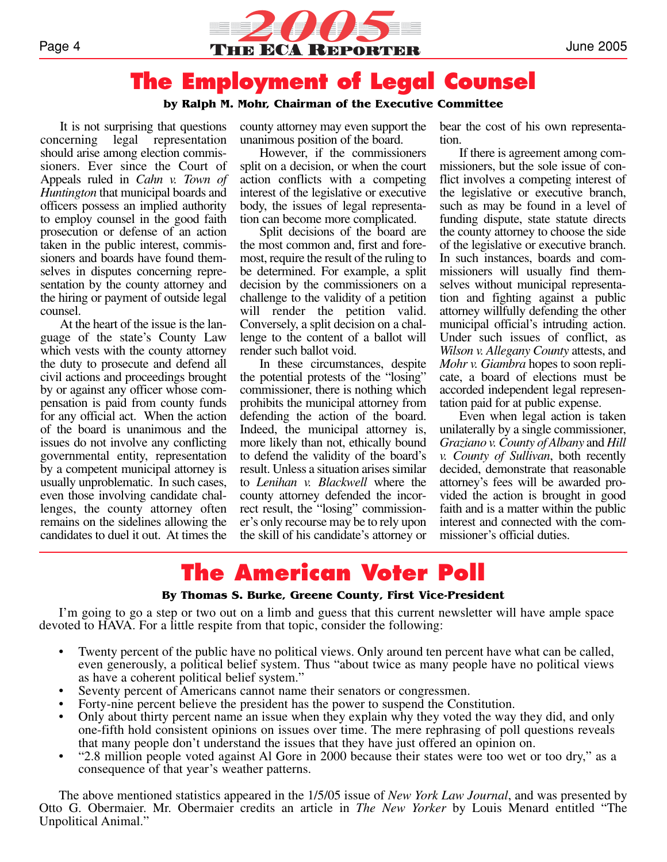

## **The Employment of Legal Counsel**

#### **by Ralph M. Mohr, Chairman of the Executive Committee**

It is not surprising that questions concerning legal representation should arise among election commissioners. Ever since the Court of Appeals ruled in *Cahn v. Town of Huntington* that municipal boards and officers possess an implied authority to employ counsel in the good faith prosecution or defense of an action taken in the public interest, commissioners and boards have found themselves in disputes concerning representation by the county attorney and the hiring or payment of outside legal counsel.

At the heart of the issue is the language of the state's County Law which vests with the county attorney the duty to prosecute and defend all civil actions and proceedings brought by or against any officer whose compensation is paid from county funds for any official act. When the action of the board is unanimous and the issues do not involve any conflicting governmental entity, representation by a competent municipal attorney is usually unproblematic. In such cases, even those involving candidate challenges, the county attorney often remains on the sidelines allowing the candidates to duel it out. At times the

county attorney may even support the unanimous position of the board.

However, if the commissioners split on a decision, or when the court action conflicts with a competing interest of the legislative or executive body, the issues of legal representation can become more complicated.

Split decisions of the board are the most common and, first and foremost, require the result of the ruling to be determined. For example, a split decision by the commissioners on a challenge to the validity of a petition will render the petition valid. Conversely, a split decision on a challenge to the content of a ballot will render such ballot void.

In these circumstances, despite the potential protests of the "losing" commissioner, there is nothing which prohibits the municipal attorney from defending the action of the board. Indeed, the municipal attorney is, more likely than not, ethically bound to defend the validity of the board's result. Unless a situation arises similar to *Lenihan v. Blackwell* where the county attorney defended the incorrect result, the "losing" commissioner's only recourse may be to rely upon the skill of his candidate's attorney or

bear the cost of his own representation.

If there is agreement among commissioners, but the sole issue of conflict involves a competing interest of the legislative or executive branch, such as may be found in a level of funding dispute, state statute directs the county attorney to choose the side of the legislative or executive branch. In such instances, boards and commissioners will usually find themselves without municipal representation and fighting against a public attorney willfully defending the other municipal official's intruding action. Under such issues of conflict, as *Wilson v. Allegany County* attests, and *Mohr v. Giambra* hopes to soon replicate, a board of elections must be accorded independent legal representation paid for at public expense.

Even when legal action is taken unilaterally by a single commissioner, *Graziano v. County of Albany* and *Hill v. County of Sullivan*, both recently decided, demonstrate that reasonable attorney's fees will be awarded provided the action is brought in good faith and is a matter within the public interest and connected with the commissioner's official duties.

## **The American Voter Poll**

#### **By Thomas S. Burke, Greene County, First Vice-President**

I'm going to go a step or two out on a limb and guess that this current newsletter will have ample space devoted to HAVA. For a little respite from that topic, consider the following:

- Twenty percent of the public have no political views. Only around ten percent have what can be called, even generously, a political belief system. Thus "about twice as many people have no political views as have a coherent political belief system."
- Seventy percent of Americans cannot name their senators or congressmen.
- Forty-nine percent believe the president has the power to suspend the Constitution.
- Only about thirty percent name an issue when they explain why they voted the way they did, and only one-fifth hold consistent opinions on issues over time. The mere rephrasing of poll questions reveals that many people don't understand the issues that they have just offered an opinion on.
- "2.8 million people voted against Al Gore in 2000 because their states were too wet or too dry," as a consequence of that year's weather patterns.

The above mentioned statistics appeared in the 1/5/05 issue of *New York Law Journal*, and was presented by Otto G. Obermaier. Mr. Obermaier credits an article in *The New Yorker* by Louis Menard entitled "The Unpolitical Animal."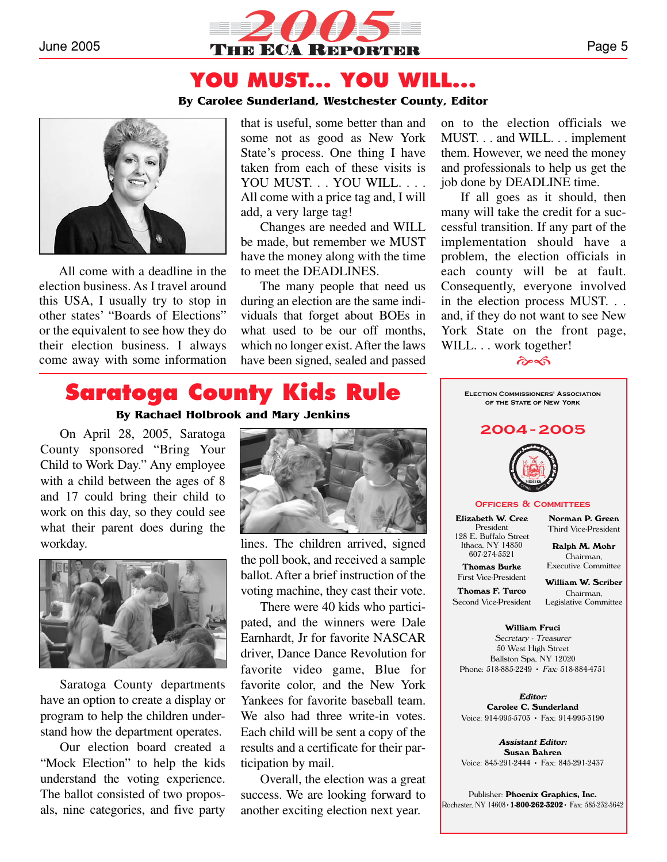

### **YOU MUST... YOU WILL...**

#### **By Carolee Sunderland, Westchester County, Editor**



All come with a deadline in the election business. As I travel around this USA, I usually try to stop in other states' "Boards of Elections" or the equivalent to see how they do their election business. I always come away with some information

that is useful, some better than and some not as good as New York State's process. One thing I have taken from each of these visits is YOU MUST. . . YOU WILL. . . . All come with a price tag and, I will add, a very large tag!

Changes are needed and WILL be made, but remember we MUST have the money along with the time to meet the DEADLINES.

The many people that need us during an election are the same individuals that forget about BOEs in what used to be our off months, which no longer exist. After the laws have been signed, sealed and passed

on to the election officials we MUST. . . and WILL. . . implement them. However, we need the money and professionals to help us get the job done by DEADLINE time.

If all goes as it should, then many will take the credit for a successful transition. If any part of the implementation should have a problem, the election officials in each county will be at fault. Consequently, everyone involved in the election process MUST. . . and, if they do not want to see New York State on the front page, WILL. . . work together!

#### $\hat{\sigma}$

# **Saratoga County Kids Rule**

**By Rachael Holbrook and Mary Jenkins**

On April 28, 2005, Saratoga County sponsored "Bring Your Child to Work Day." Any employee with a child between the ages of 8 and 17 could bring their child to work on this day, so they could see what their parent does during the workday.



Saratoga County departments have an option to create a display or program to help the children understand how the department operates.

Our election board created a "Mock Election" to help the kids understand the voting experience. The ballot consisted of two proposals, nine categories, and five party



lines. The children arrived, signed the poll book, and received a sample ballot. After a brief instruction of the voting machine, they cast their vote.

There were 40 kids who participated, and the winners were Dale Earnhardt, Jr for favorite NASCAR driver, Dance Dance Revolution for favorite video game, Blue for favorite color, and the New York Yankees for favorite baseball team. We also had three write-in votes. Each child will be sent a copy of the results and a certificate for their participation by mail.

Overall, the election was a great success. We are looking forward to another exciting election next year.



Secretary - Treasurer 50 West High Street Ballston Spa, NY 12020 Phone: 518-885-2249 • Fax: 518-884-4751

**Editor: Carolee C. Sunderland** Voice: 914-995-5703 • Fax: 914-995-3190

**Assistant Editor: Susan Bahren** Voice: 845-291-2444 • Fax: 845-291-2437

Publisher: **Phoenix Graphics, Inc.** Rochester, NY 14608•**1-800-262-3202**• Fax: 585-232-5642